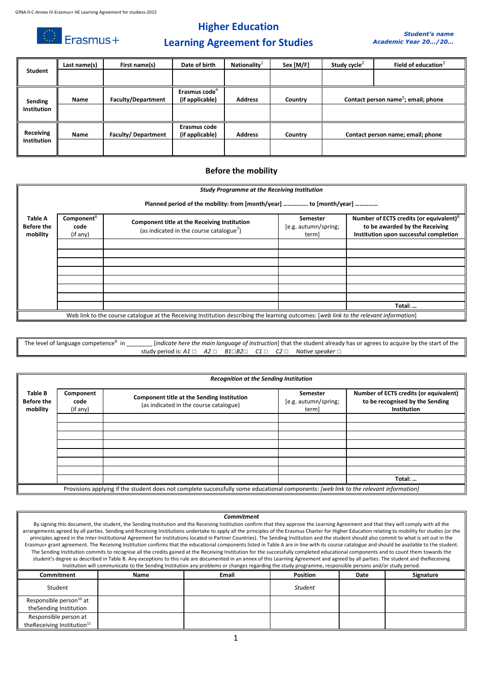$\circledcirc$  Erasmus+

## **Higher Education**



## **Learning Agreement for Studies**

| Student                       | Last name(s) | First name(s)             | Date of birth                                | Nationality $1$ | Sex [M/F] | Study cycle $2$ | Field of education $3$                          |
|-------------------------------|--------------|---------------------------|----------------------------------------------|-----------------|-----------|-----------------|-------------------------------------------------|
|                               |              |                           |                                              |                 |           |                 |                                                 |
| Sending<br><b>Institution</b> | Name         | <b>Faculty/Department</b> | Erasmus code <sup>4</sup><br>(if applicable) | <b>Address</b>  | Country   |                 | Contact person name <sup>5</sup> ; email; phone |
| Receiving<br>Institution      | Name         | <b>Faculty/Department</b> | Erasmus code<br>(if applicable)              | <b>Address</b>  | Country   |                 | Contact person name; email; phone               |

#### **Before the mobility**

|                                                 | <b>Study Programme at the Receiving Institution</b><br>Planned period of the mobility: from [month/year]  to [month/year] |                                                                                                      |                                           |                                                                                                                                 |  |  |  |  |
|-------------------------------------------------|---------------------------------------------------------------------------------------------------------------------------|------------------------------------------------------------------------------------------------------|-------------------------------------------|---------------------------------------------------------------------------------------------------------------------------------|--|--|--|--|
| <b>Table A</b><br><b>Before the</b><br>mobility | Component <sup>b</sup><br>code<br>(if any)                                                                                | Component title at the Receiving Institution<br>(as indicated in the course catalogue <sup>7</sup> ) | Semester<br>[e.g. autumn/spring;<br>term] | Number of ECTS credits (or equivalent) <sup>8</sup><br>to be awarded by the Receiving<br>Institution upon successful completion |  |  |  |  |
|                                                 |                                                                                                                           |                                                                                                      |                                           |                                                                                                                                 |  |  |  |  |
|                                                 |                                                                                                                           |                                                                                                      |                                           |                                                                                                                                 |  |  |  |  |
|                                                 |                                                                                                                           |                                                                                                      |                                           |                                                                                                                                 |  |  |  |  |
|                                                 |                                                                                                                           |                                                                                                      |                                           |                                                                                                                                 |  |  |  |  |
|                                                 |                                                                                                                           |                                                                                                      |                                           | Total:                                                                                                                          |  |  |  |  |

The level of language competence<sup>9</sup> in [*indicate here the main language of instruction*] that the student already has or agrees to acquire by the start of the study period is: *A1* ☐ *A2* ☐ *B1*☐*B2*☐ *C1* ☐ *C2* ☐ *Native speaker* ☐

|                                          | <b>Recognition at the Sending Institution</b>                                                                                         |                                                                                      |                                           |                                                                                          |  |  |  |  |
|------------------------------------------|---------------------------------------------------------------------------------------------------------------------------------------|--------------------------------------------------------------------------------------|-------------------------------------------|------------------------------------------------------------------------------------------|--|--|--|--|
| Table B<br><b>Before the</b><br>mobility | Component<br>code<br>(if any)                                                                                                         | Component title at the Sending Institution<br>(as indicated in the course catalogue) | Semester<br>[e.g. autumn/spring;<br>term] | Number of ECTS credits (or equivalent)<br>to be recognised by the Sending<br>Institution |  |  |  |  |
|                                          |                                                                                                                                       |                                                                                      |                                           |                                                                                          |  |  |  |  |
|                                          |                                                                                                                                       |                                                                                      |                                           |                                                                                          |  |  |  |  |
|                                          |                                                                                                                                       |                                                                                      |                                           |                                                                                          |  |  |  |  |
|                                          |                                                                                                                                       |                                                                                      |                                           |                                                                                          |  |  |  |  |
|                                          |                                                                                                                                       |                                                                                      |                                           |                                                                                          |  |  |  |  |
|                                          |                                                                                                                                       |                                                                                      |                                           |                                                                                          |  |  |  |  |
|                                          |                                                                                                                                       |                                                                                      |                                           | Total:                                                                                   |  |  |  |  |
|                                          | Provisions applying if the student does not complete successfully some educational components: [web link to the relevant information] |                                                                                      |                                           |                                                                                          |  |  |  |  |

#### *Commitment*

By signing this document, the student, the Sending Institution and the Receiving Institution confirm that they approve the Learning Agreement and that they will comply with all the arrangements agreed by all parties. Sending and Receiving Institutions undertake to apply all the principles of the Erasmus Charter for Higher Education relating to mobility for studies (or the principles agreed in the Inter-Institutional Agreement for institutions located in Partner Countries). The Sending Institution and the student should also commit to what is set out in the Erasmus+ grant agreement. The Receiving Institution confirms that the educational components listed in Table A are in line with its course catalogue and should be available to the student. The Sending Institution commits to recognise all the credits gained at the Receiving Institution for the successfully completed educational components and to count them towards the student's degree as described in Table B. Any exceptions to this rule are documented in an annex of this Learning Agreement and agreed by all parties. The student and theReceiving Institution will communicate to the Sending Institution any problems or changes regarding the study programme, responsible persons and/or study period.

| Commitment                             | Name | <b>Email</b> | <b>Position</b> | Date | Signature |
|----------------------------------------|------|--------------|-----------------|------|-----------|
| Student                                |      |              | <b>Student</b>  |      |           |
| Responsible person <sup>10</sup> at    |      |              |                 |      |           |
| theSending Institution                 |      |              |                 |      |           |
| Responsible person at                  |      |              |                 |      |           |
| theReceiving Institution <sup>11</sup> |      |              |                 |      |           |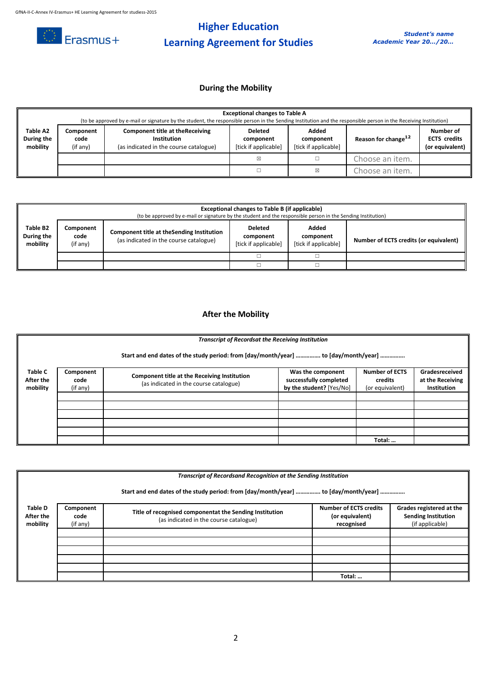

# **Higher Education Learning Agreement for Studies**

## **During the Mobility**

|                                    | <b>Exceptional changes to Table A</b><br>(to be approved by e-mail or signature by the student, the responsible person in the Sending Institution and the responsible person in the Receiving Institution) |                                                                                                         |                                                     |                                            |                                 |                                                     |  |  |
|------------------------------------|------------------------------------------------------------------------------------------------------------------------------------------------------------------------------------------------------------|---------------------------------------------------------------------------------------------------------|-----------------------------------------------------|--------------------------------------------|---------------------------------|-----------------------------------------------------|--|--|
| Table A2<br>During the<br>mobility | Component<br>code<br>(if any)                                                                                                                                                                              | <b>Component title at the Receiving</b><br><b>Institution</b><br>(as indicated in the course catalogue) | <b>Deleted</b><br>component<br>[tick if applicable] | Added<br>component<br>[tick if applicable] | Reason for change <sup>12</sup> | Number of<br><b>ECTS</b> credits<br>(or equivalent) |  |  |
|                                    |                                                                                                                                                                                                            |                                                                                                         | X                                                   |                                            | Choose an item.                 |                                                     |  |  |
|                                    |                                                                                                                                                                                                            |                                                                                                         |                                                     | ⊠                                          | Choose an item.                 |                                                     |  |  |

|                                    | Exceptional changes to Table B (if applicable)<br>(to be approved by e-mail or signature by the student and the responsible person in the Sending Institution) |  |                                                     |                                            |                                        |  |  |  |
|------------------------------------|----------------------------------------------------------------------------------------------------------------------------------------------------------------|--|-----------------------------------------------------|--------------------------------------------|----------------------------------------|--|--|--|
| Table B2<br>During the<br>mobility | Component<br>Component title at the Sending Institution<br>code<br>(as indicated in the course catalogue)<br>(if any)                                          |  | <b>Deleted</b><br>component<br>[tick if applicable] | Added<br>component<br>[tick if applicable] | Number of ECTS credits (or equivalent) |  |  |  |
|                                    |                                                                                                                                                                |  |                                                     |                                            |                                        |  |  |  |
|                                    |                                                                                                                                                                |  |                                                     |                                            |                                        |  |  |  |

## **After the Mobility**

|                                  | <b>Transcript of Recordsat the Receiving Institution</b>                            |                                                                                        |                                                                         |                                                     |                                                          |  |  |  |  |
|----------------------------------|-------------------------------------------------------------------------------------|----------------------------------------------------------------------------------------|-------------------------------------------------------------------------|-----------------------------------------------------|----------------------------------------------------------|--|--|--|--|
|                                  | Start and end dates of the study period: from [day/month/year]  to [day/month/year] |                                                                                        |                                                                         |                                                     |                                                          |  |  |  |  |
| Table C<br>After the<br>mobility | Component<br>code<br>(if any)                                                       | Component title at the Receiving Institution<br>(as indicated in the course catalogue) | Was the component<br>successfully completed<br>by the student? [Yes/No] | <b>Number of ECTS</b><br>credits<br>(or equivalent) | Gradesreceived<br>at the Receiving<br><b>Institution</b> |  |  |  |  |
|                                  |                                                                                     |                                                                                        |                                                                         |                                                     |                                                          |  |  |  |  |
|                                  |                                                                                     |                                                                                        |                                                                         |                                                     |                                                          |  |  |  |  |
|                                  |                                                                                     |                                                                                        |                                                                         |                                                     |                                                          |  |  |  |  |
|                                  |                                                                                     |                                                                                        |                                                                         |                                                     |                                                          |  |  |  |  |
|                                  |                                                                                     |                                                                                        |                                                                         |                                                     |                                                          |  |  |  |  |
|                                  |                                                                                     |                                                                                        |                                                                         | Total:                                              |                                                          |  |  |  |  |

|                                         | Transcript of Recordsand Recognition at the Sending Institution                     |                                                                                                   |                                                                |                                                                           |  |  |  |
|-----------------------------------------|-------------------------------------------------------------------------------------|---------------------------------------------------------------------------------------------------|----------------------------------------------------------------|---------------------------------------------------------------------------|--|--|--|
|                                         | Start and end dates of the study period: from [day/month/year]  to [day/month/year] |                                                                                                   |                                                                |                                                                           |  |  |  |
| <b>Table D</b><br>After the<br>mobility | Component<br>code<br>(if any)                                                       | Title of recognised componentat the Sending Institution<br>(as indicated in the course catalogue) | <b>Number of ECTS credits</b><br>(or equivalent)<br>recognised | Grades registered at the<br><b>Sending Institution</b><br>(if applicable) |  |  |  |
|                                         |                                                                                     |                                                                                                   |                                                                |                                                                           |  |  |  |
|                                         |                                                                                     |                                                                                                   |                                                                |                                                                           |  |  |  |
|                                         |                                                                                     |                                                                                                   |                                                                |                                                                           |  |  |  |
|                                         |                                                                                     |                                                                                                   |                                                                |                                                                           |  |  |  |
|                                         |                                                                                     |                                                                                                   |                                                                |                                                                           |  |  |  |
|                                         |                                                                                     |                                                                                                   | Total:                                                         |                                                                           |  |  |  |